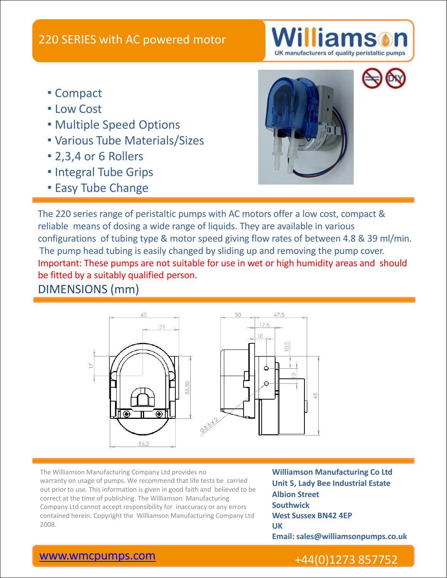

- Compact
- Low Cost
- Multiple Speed Options
- Various Tube Materials/Sizes
- 2,3,4 or 6 Rollers
- Integral Tube Grips
- Easy Tube Change



The 220 series range of peristaltic pumps with AC motors offer a low cost, compact & reliable means of dosing a wide range of liquids. They are available in various configurations of tubing type & motor speed giving flow rates of between 4.8 & 39 ml/min. The pump head tubing is easily changed by sliding up and removing the pump cover. Important: These pumps are not suitable for use in wet or high humidity areas and should be fitted by a suitably qualified person.

DIMENSIONS (mm)



The Williamson Manufacturing Company Ltd provides no **Williamson Manufacturing Co Ltd** warranty on usage of pumps. We recommend that life tests be carried out prior to use. This information is given in good faith and believed to be correct at the time of publishing. The Williamson Manufacturing Company Ltd cannot accept responsibility for inaccuracy or any errors contained herein. Copyright the Williamson Manufacturing Company Ltd The Williamson Manufacturing Company Ltd provides no<br>
warranty on usage of pumps. We recommend that life tests be carried<br>
out prior to use. This information is given in good faith and believed to be<br>
correct at the time o

**Unit 5, Lady Bee Industrial Estate Albion Street Southwick West Sussex BN42 4EP UK Email: sales@williamsonpumps.co.uk**

## [www.wmcpumps.com](http://www.wmcpumps.com/) +44(0)1273 857752